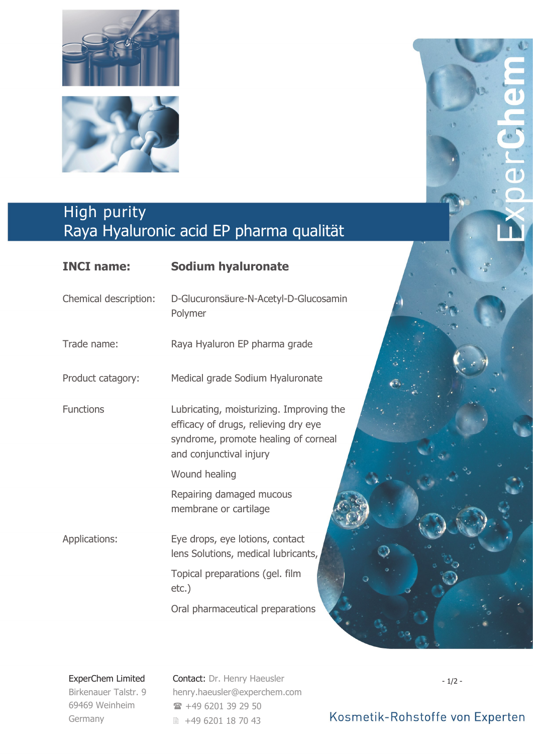



## High purity Raya Hyaluronic acid EP pharma qualität

| <b>INCI name:</b>     | <b>Sodium hyaluronate</b>                                                                                                                           |
|-----------------------|-----------------------------------------------------------------------------------------------------------------------------------------------------|
| Chemical description: | D-Glucuronsäure-N-Acetyl-D-Glucosamin<br>Polymer                                                                                                    |
| Trade name:           | Raya Hyaluron EP pharma grade                                                                                                                       |
| Product catagory:     | Medical grade Sodium Hyaluronate                                                                                                                    |
| <b>Functions</b>      | Lubricating, moisturizing. Improving the<br>efficacy of drugs, relieving dry eye<br>syndrome, promote healing of corneal<br>and conjunctival injury |
|                       | Wound healing                                                                                                                                       |
|                       | Repairing damaged mucous<br>membrane or cartilage                                                                                                   |
| Applications:         | Eye drops, eye lotions, contact<br>lens Solutions, medical lubricants,                                                                              |
|                       | Topical preparations (gel. film<br>$etc.$ )                                                                                                         |
|                       | Oral pharmaceutical preparations                                                                                                                    |

## ExperChem Limited

Birkenauer Talstr. 9 69469 Weinheim Germany

Contact: Dr. Henry Haeusler henry.haeusler@experchem.com +49 6201 39 29 50 ■ +49 6201 18 70 43

- 1/2 -

a b

10

## Kosmetik-Rohstoffe von Experten